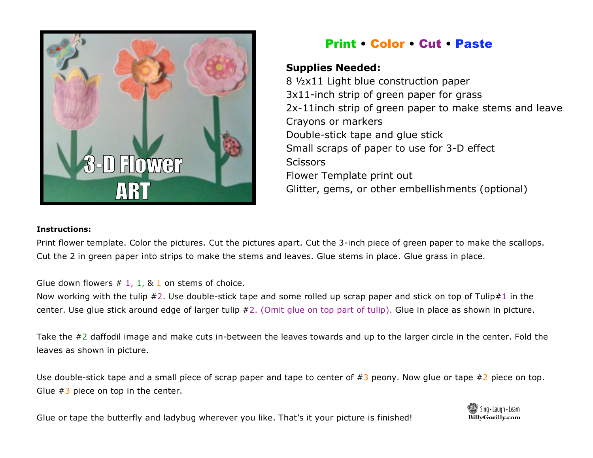

## Print • Color • Cut • Paste

## **Supplies Needed:**

8 ½x11 Light blue construction paper 3x11-inch strip of green paper for grass 2x-11inch strip of green paper to make stems and leaves Crayons or markers Double-stick tape and glue stick Small scraps of paper to use for 3-D effect **Scissors** Flower Template print out Glitter, gems, or other embellishments (optional)

## **Instructions:**

Print flower template. Color the pictures. Cut the pictures apart. Cut the 3-inch piece of green paper to make the scallops. Cut the 2 in green paper into strips to make the stems and leaves. Glue stems in place. Glue grass in place.

Glue down flowers  $# 1, 1, 8, 1$  on stems of choice.

Now working with the tulip  $#2$ . Use double-stick tape and some rolled up scrap paper and stick on top of Tulip#1 in the center. Use glue stick around edge of larger tulip #2. (Omit glue on top part of tulip). Glue in place as shown in picture.

Take the  $\#2$  daffodil image and make cuts in-between the leaves towards and up to the larger circle in the center. Fold the leaves as shown in picture.

Use double-stick tape and a small piece of scrap paper and tape to center of  $#3$  peony. Now glue or tape  $#2$  piece on top. Glue  $#3$  piece on top in the center.

Glue or tape the butterfly and ladybug wherever you like. That's it your picture is finished!